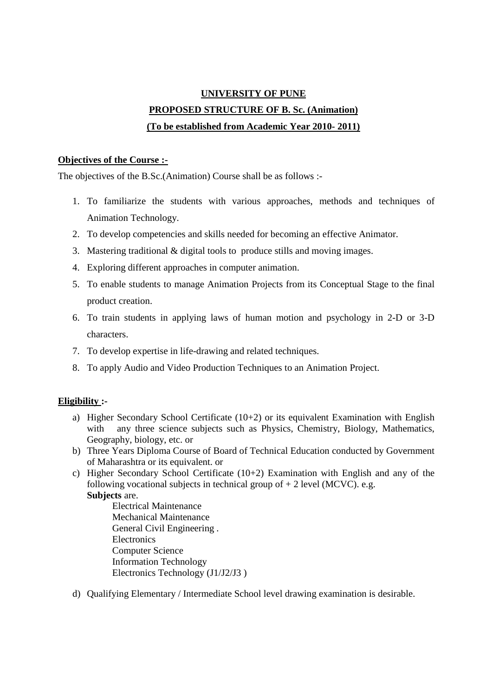# **UNIVERSITY OF PUNE PROPOSED STRUCTURE OF B. Sc. (Animation) (To be established from Academic Year 2010- 2011)**

## **Objectives of the Course :-**

The objectives of the B.Sc.(Animation) Course shall be as follows :-

- 1. To familiarize the students with various approaches, methods and techniques of Animation Technology.
- 2. To develop competencies and skills needed for becoming an effective Animator.
- 3. Mastering traditional & digital tools to produce stills and moving images.
- 4. Exploring different approaches in computer animation.
- 5. To enable students to manage Animation Projects from its Conceptual Stage to the final product creation.
- 6. To train students in applying laws of human motion and psychology in 2-D or 3-D characters.
- 7. To develop expertise in life-drawing and related techniques.
- 8. To apply Audio and Video Production Techniques to an Animation Project.

## **Eligibility :-**

- a) Higher Secondary School Certificate (10+2) or its equivalent Examination with English with any three science subjects such as Physics, Chemistry, Biology, Mathematics, Geography, biology, etc. or
- b) Three Years Diploma Course of Board of Technical Education conducted by Government of Maharashtra or its equivalent. or
- c) Higher Secondary School Certificate (10+2) Examination with English and any of the following vocational subjects in technical group of  $+2$  level (MCVC). e.g.  **Subjects** are.

Electrical Maintenance Mechanical Maintenance General Civil Engineering . Electronics Computer Science Information Technology Electronics Technology (J1/J2/J3 )

d) Qualifying Elementary / Intermediate School level drawing examination is desirable.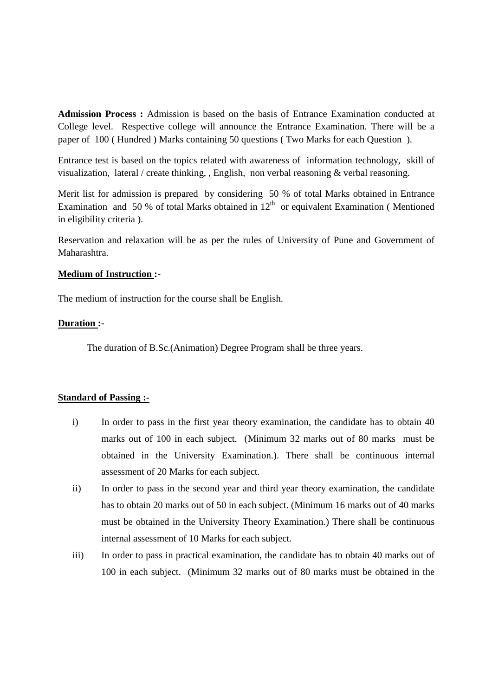**Admission Process :** Admission is based on the basis of Entrance Examination conducted at College level. Respective college will announce the Entrance Examination. There will be a paper of 100 ( Hundred ) Marks containing 50 questions ( Two Marks for each Question ).

Entrance test is based on the topics related with awareness of information technology, skill of visualization, lateral / create thinking, , English, non verbal reasoning & verbal reasoning.

Merit list for admission is prepared by considering 50 % of total Marks obtained in Entrance Examination and 50 % of total Marks obtained in  $12<sup>th</sup>$  or equivalent Examination (Mentioned in eligibility criteria ).

Reservation and relaxation will be as per the rules of University of Pune and Government of Maharashtra.

### **Medium of Instruction :-**

The medium of instruction for the course shall be English.

## **Duration :-**

The duration of B.Sc.(Animation) Degree Program shall be three years.

### **Standard of Passing :-**

- i) In order to pass in the first year theory examination, the candidate has to obtain 40 marks out of 100 in each subject. (Minimum 32 marks out of 80 marks must be obtained in the University Examination.). There shall be continuous internal assessment of 20 Marks for each subject.
- ii) In order to pass in the second year and third year theory examination, the candidate has to obtain 20 marks out of 50 in each subject. (Minimum 16 marks out of 40 marks must be obtained in the University Theory Examination.) There shall be continuous internal assessment of 10 Marks for each subject.
- iii) In order to pass in practical examination, the candidate has to obtain 40 marks out of 100 in each subject. (Minimum 32 marks out of 80 marks must be obtained in the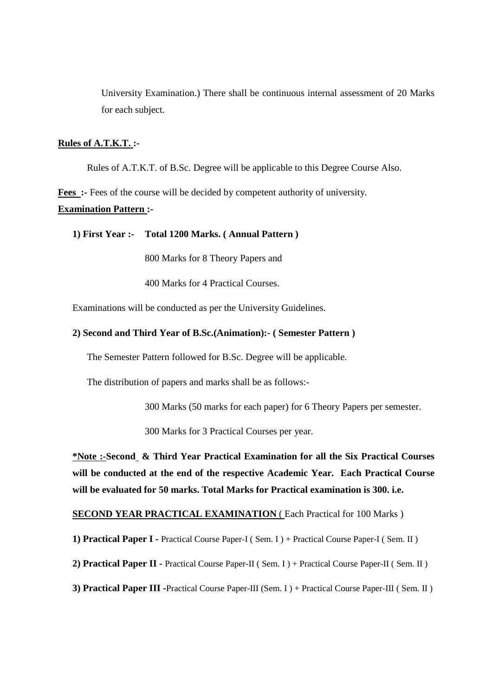University Examination.) There shall be continuous internal assessment of 20 Marks for each subject.

#### **Rules of A.T.K.T. :-**

Rules of A.T.K.T. of B.Sc. Degree will be applicable to this Degree Course Also.

**Fees :-** Fees of the course will be decided by competent authority of university.

#### **Examination Pattern :-**

**1) First Year :- Total 1200 Marks. ( Annual Pattern )** 

800 Marks for 8 Theory Papers and

400 Marks for 4 Practical Courses.

Examinations will be conducted as per the University Guidelines.

#### **2) Second and Third Year of B.Sc.(Animation):- ( Semester Pattern )**

The Semester Pattern followed for B.Sc. Degree will be applicable.

The distribution of papers and marks shall be as follows:-

300 Marks (50 marks for each paper) for 6 Theory Papers per semester.

300 Marks for 3 Practical Courses per year.

**\*Note :-Second & Third Year Practical Examination for all the Six Practical Courses will be conducted at the end of the respective Academic Year. Each Practical Course will be evaluated for 50 marks. Total Marks for Practical examination is 300. i.e.** 

#### **SECOND YEAR PRACTICAL EXAMINATION** (Each Practical for 100 Marks)

**1) Practical Paper I -** Practical Course Paper-I ( Sem. I ) + Practical Course Paper-I ( Sem. II )

**2) Practical Paper II -** Practical Course Paper-II ( Sem. I ) + Practical Course Paper-II ( Sem. II )

**3) Practical Paper III -**Practical Course Paper-III (Sem. I ) + Practical Course Paper-III ( Sem. II )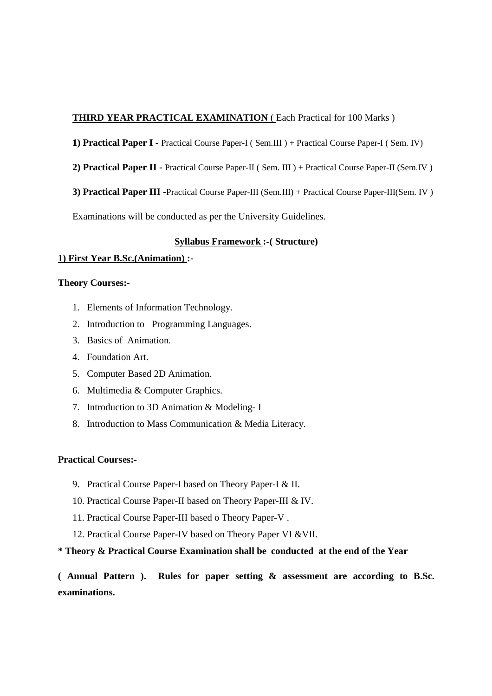## **THIRD YEAR PRACTICAL EXAMINATION** ( Each Practical for 100 Marks )

- **1) Practical Paper I** Practical Course Paper-I ( Sem.III ) + Practical Course Paper-I ( Sem. IV)
- **2) Practical Paper II** Practical Course Paper-II ( Sem. III ) + Practical Course Paper-II (Sem.IV )
- **3) Practical Paper III -**Practical Course Paper-III (Sem.III) + Practical Course Paper-III(Sem. IV )

Examinations will be conducted as per the University Guidelines.

### **Syllabus Framework :-( Structure)**

#### **1) First Year B.Sc.(Animation) :-**

#### **Theory Courses:-**

- 1. Elements of Information Technology.
- 2. Introduction to Programming Languages.
- 3. Basics of Animation.
- 4. Foundation Art.
- 5. Computer Based 2D Animation.
- 6. Multimedia & Computer Graphics.
- 7. Introduction to 3D Animation & Modeling- I
- 8. Introduction to Mass Communication & Media Literacy.

## **Practical Courses:-**

- 9. Practical Course Paper-I based on Theory Paper-I & II.
- 10. Practical Course Paper-II based on Theory Paper-III & IV.
- 11. Practical Course Paper-III based o Theory Paper-V .
- 12. Practical Course Paper-IV based on Theory Paper VI &VII.

## **\* Theory & Practical Course Examination shall be conducted at the end of the Year**

**( Annual Pattern ). Rules for paper setting & assessment are according to B.Sc. examinations.**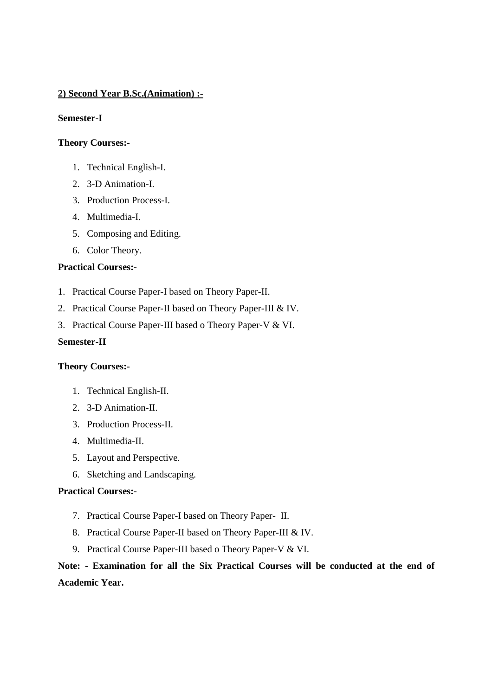## **2) Second Year B.Sc.(Animation) :-**

### **Semester-I**

## **Theory Courses:-**

- 1. Technical English-I.
- 2. 3-D Animation-I.
- 3. Production Process-I.
- 4. Multimedia-I.
- 5. Composing and Editing.
- 6. Color Theory.

### **Practical Courses:-**

- 1. Practical Course Paper-I based on Theory Paper-II.
- 2. Practical Course Paper-II based on Theory Paper-III & IV.
- 3. Practical Course Paper-III based o Theory Paper-V & VI.

## **Semester-II**

#### **Theory Courses:-**

- 1. Technical English-II.
- 2. 3-D Animation-II.
- 3. Production Process-II.
- 4. Multimedia-II.
- 5. Layout and Perspective.
- 6. Sketching and Landscaping.

#### **Practical Courses:-**

- 7. Practical Course Paper-I based on Theory Paper- II.
- 8. Practical Course Paper-II based on Theory Paper-III & IV.
- 9. Practical Course Paper-III based o Theory Paper-V & VI.

**Note: - Examination for all the Six Practical Courses will be conducted at the end of Academic Year.**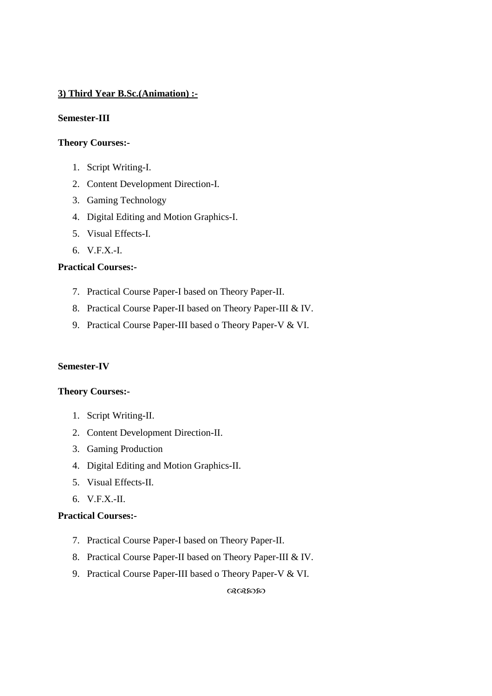## **3) Third Year B.Sc.(Animation) :-**

## **Semester-III**

## **Theory Courses:-**

- 1. Script Writing-I.
- 2. Content Development Direction-I.
- 3. Gaming Technology
- 4. Digital Editing and Motion Graphics-I.
- 5. Visual Effects-I.
- 6. V.F.X.-I.

## **Practical Courses:-**

- 7. Practical Course Paper-I based on Theory Paper-II.
- 8. Practical Course Paper-II based on Theory Paper-III & IV.
- 9. Practical Course Paper-III based o Theory Paper-V & VI.

### **Semester-IV**

### **Theory Courses:-**

- 1. Script Writing-II.
- 2. Content Development Direction-II.
- 3. Gaming Production
- 4. Digital Editing and Motion Graphics-II.
- 5. Visual Effects-II.
- 6. V.F.X.-II.

## **Practical Courses:-**

- 7. Practical Course Paper-I based on Theory Paper-II.
- 8. Practical Course Paper-II based on Theory Paper-III & IV.
- 9. Practical Course Paper-III based o Theory Paper-V & VI.

#### $@@&p@$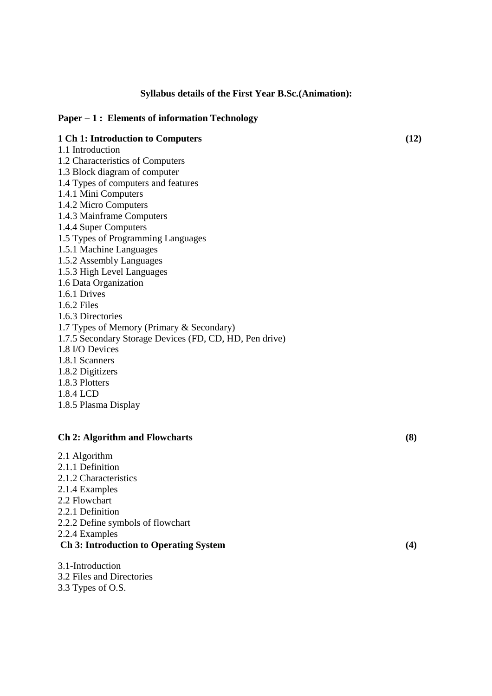#### **Syllabus details of the First Year B.Sc.(Animation):**

#### **Paper – 1 : Elements of information Technology**

## **1 Ch 1: Introduction to Computers (12)**

- 1.1 Introduction
- 1.2 Characteristics of Computers
- 1.3 Block diagram of computer
- 1.4 Types of computers and features
- 1.4.1 Mini Computers
- 1.4.2 Micro Computers
- 1.4.3 Mainframe Computers
- 1.4.4 Super Computers
- 1.5 Types of Programming Languages
- 1.5.1 Machine Languages
- 1.5.2 Assembly Languages
- 1.5.3 High Level Languages
- 1.6 Data Organization
- 1.6.1 Drives
- 1.6.2 Files
- 1.6.3 Directories
- 1.7 Types of Memory (Primary & Secondary)
- 1.7.5 Secondary Storage Devices (FD, CD, HD, Pen drive)
- 1.8 I/O Devices
- 1.8.1 Scanners
- 1.8.2 Digitizers
- 1.8.3 Plotters
- 1.8.4 LCD
- 1.8.5 Plasma Display

#### **Ch 2: Algorithm and Flowcharts (8)**

- 2.1 Algorithm 2.1.1 Definition
- 2.1.2 Characteristics
- 2.1.4 Examples
- 2.2 Flowchart
- 2.2.1 Definition
- 2.2.2 Define symbols of flowchart
- 2.2.4 Examples

## **Ch 3: Introduction to Operating System (4)**

- 3.1-Introduction
- 3.2 Files and Directories
- 3.3 Types of O.S.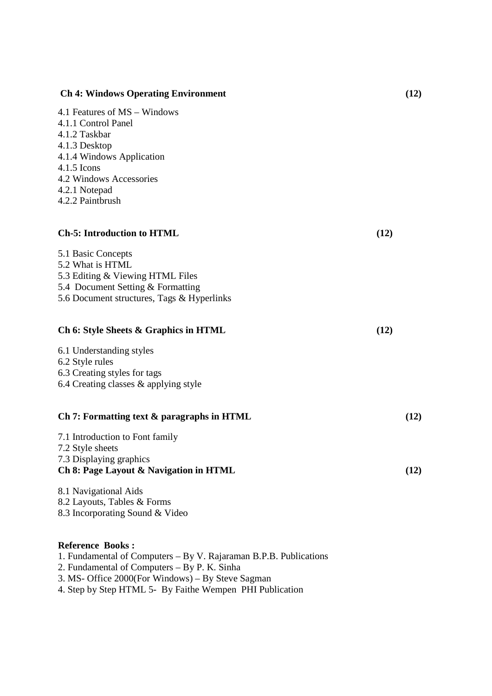| <b>Ch 4: Windows Operating Environment</b>                                                                                                                                                               |      | (12) |
|----------------------------------------------------------------------------------------------------------------------------------------------------------------------------------------------------------|------|------|
| 4.1 Features of MS – Windows<br>4.1.1 Control Panel<br>4.1.2 Taskbar<br>4.1.3 Desktop<br>4.1.4 Windows Application<br>4.1.5 Icons<br><b>4.2 Windows Accessories</b><br>4.2.1 Notepad<br>4.2.2 Paintbrush |      |      |
| <b>Ch-5: Introduction to HTML</b>                                                                                                                                                                        | (12) |      |
| 5.1 Basic Concepts<br>5.2 What is HTML<br>5.3 Editing & Viewing HTML Files<br>5.4 Document Setting & Formatting<br>5.6 Document structures, Tags & Hyperlinks                                            |      |      |
| Ch 6: Style Sheets & Graphics in HTML                                                                                                                                                                    | (12) |      |
| 6.1 Understanding styles<br>6.2 Style rules<br>6.3 Creating styles for tags<br>6.4 Creating classes & applying style                                                                                     |      |      |
| Ch 7: Formatting text & paragraphs in HTML                                                                                                                                                               |      | (12) |
| 7.1 Introduction to Font family<br>7.2 Style sheets<br>7.3 Displaying graphics<br>Ch 8: Page Layout & Navigation in HTML                                                                                 |      | (12) |
| 8.1 Navigational Aids<br>8.2 Layouts, Tables & Forms<br>8.3 Incorporating Sound & Video                                                                                                                  |      |      |
| <b>Reference Books:</b><br>1. Fundamental of Computers – By V. Rajaraman B.P.B. Publications                                                                                                             |      |      |

- 2. Fundamental of Computers By P. K. Sinha
- 3. MS- Office 2000(For Windows) By Steve Sagman
- 4. Step by Step HTML 5- By Faithe Wempen PHI Publication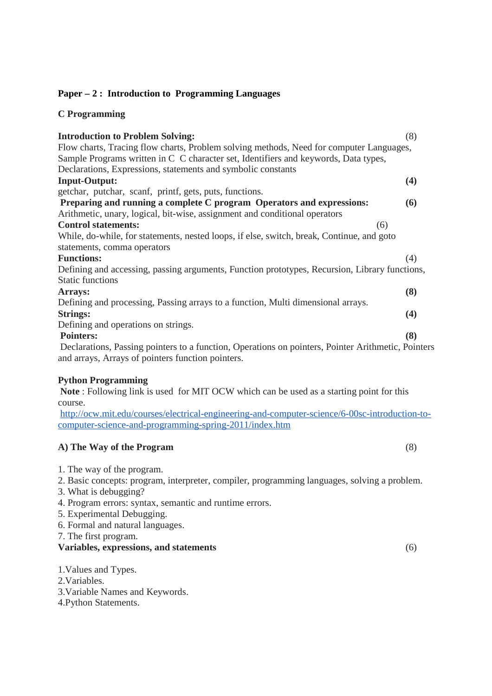## **Paper – 2 : Introduction to Programming Languages**

## **C Programming**

| <b>Introduction to Problem Solving:</b>                                                                                                                 | (8) |
|---------------------------------------------------------------------------------------------------------------------------------------------------------|-----|
| Flow charts, Tracing flow charts, Problem solving methods, Need for computer Languages,                                                                 |     |
| Sample Programs written in C C character set, Identifiers and keywords, Data types,                                                                     |     |
| Declarations, Expressions, statements and symbolic constants                                                                                            |     |
| <b>Input-Output:</b>                                                                                                                                    | (4) |
| getchar, putchar, scanf, printf, gets, puts, functions.                                                                                                 |     |
| Preparing and running a complete C program Operators and expressions:                                                                                   | (6) |
| Arithmetic, unary, logical, bit-wise, assignment and conditional operators                                                                              |     |
| <b>Control statements:</b><br>(6)                                                                                                                       |     |
| While, do-while, for statements, nested loops, if else, switch, break, Continue, and goto                                                               |     |
| statements, comma operators                                                                                                                             |     |
| <b>Functions:</b>                                                                                                                                       | (4) |
| Defining and accessing, passing arguments, Function prototypes, Recursion, Library functions,                                                           |     |
| <b>Static functions</b>                                                                                                                                 |     |
| Arrays:                                                                                                                                                 | (8) |
| Defining and processing, Passing arrays to a function, Multi dimensional arrays.                                                                        |     |
| <b>Strings:</b>                                                                                                                                         | (4) |
| Defining and operations on strings.                                                                                                                     |     |
| <b>Pointers:</b>                                                                                                                                        | (8) |
| Declarations, Passing pointers to a function, Operations on pointers, Pointer Arithmetic, Pointers<br>and arrays, Arrays of pointers function pointers. |     |

### **Python Programming**

**Note** : Following link is used for MIT OCW which can be used as a starting point for this course.

http://ocw.mit.edu/courses/electrical-engineering-and-computer-science/6-00sc-introduction-tocomputer-science-and-programming-spring-2011/index.htm

### **A) The Way of the Program** (8)

1. The way of the program.

- 2. Basic concepts: program, interpreter, compiler, programming languages, solving a problem.
- 3. What is debugging?
- 4. Program errors: syntax, semantic and runtime errors.
- 5. Experimental Debugging.
- 6. Formal and natural languages.
- 7. The first program.

## **Variables, expressions, and statements** (6)

1.Values and Types.

- 2.Variables.
- 3.Variable Names and Keywords.
- 4.Python Statements.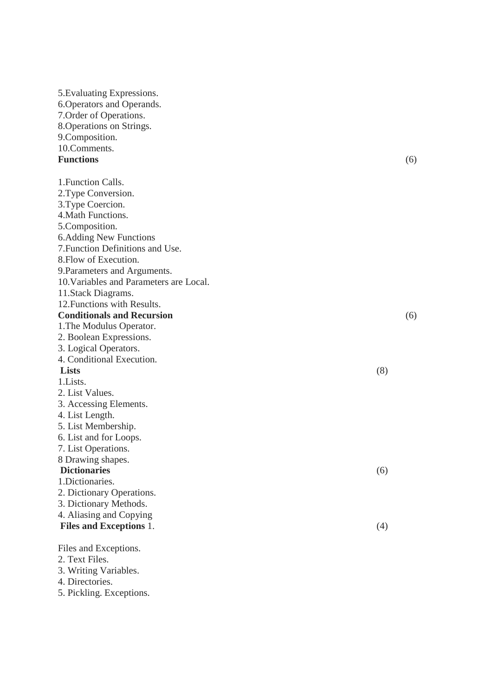5.Evaluating Expressions. 6.Operators and Operands. 7.Order of Operations. 8.Operations on Strings. 9.Composition. 10.Comments. **Functions** (6) 1.Function Calls. 2.Type Conversion. 3.Type Coercion. 4.Math Functions. 5.Composition. 6.Adding New Functions 7.Function Definitions and Use. 8.Flow of Execution. 9.Parameters and Arguments. 10.Variables and Parameters are Local. 11.Stack Diagrams. 12.Functions with Results. **Conditionals and Recursion** (6) 1.The Modulus Operator. 2. Boolean Expressions. 3. Logical Operators. 4. Conditional Execution. **Lists** (8) 1.Lists. 2. List Values. 3. Accessing Elements. 4. List Length. 5. List Membership. 6. List and for Loops. 7. List Operations. 8 Drawing shapes. **Dictionaries** (6) 1.Dictionaries. 2. Dictionary Operations. 3. Dictionary Methods. 4. Aliasing and Copying Files and Exceptions 1. (4) Files and Exceptions.

- 2. Text Files.
- 3. Writing Variables.
- 4. Directories.
- 5. Pickling. Exceptions.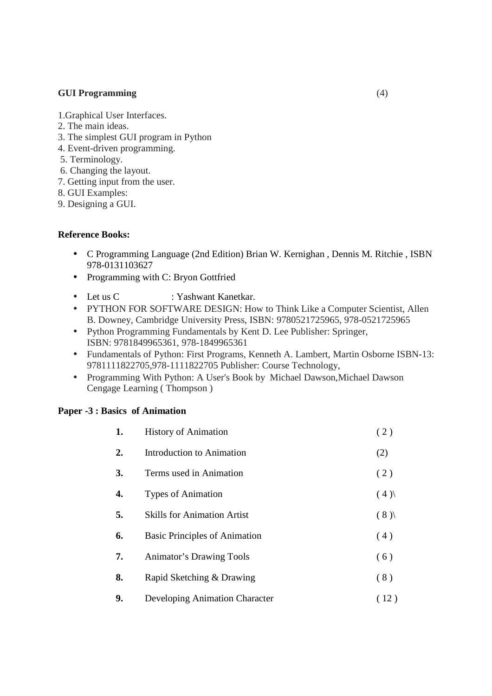## **GUI Programming** (4)

1.Graphical User Interfaces.

- 2. The main ideas.
- 3. The simplest GUI program in Python
- 4. Event-driven programming.
- 5. Terminology.
- 6. Changing the layout.
- 7. Getting input from the user.
- 8. GUI Examples:
- 9. Designing a GUI.

## **Reference Books:**

- C Programming Language (2nd Edition) Brian W. Kernighan , Dennis M. Ritchie , ISBN 978-0131103627
- Programming with C: Bryon Gottfried
- Let us C : Yashwant Kanetkar.
- PYTHON FOR SOFTWARE DESIGN: How to Think Like a Computer Scientist, Allen B. Downey, Cambridge University Press, ISBN: 9780521725965, 978-0521725965
- Python Programming Fundamentals by Kent D. Lee Publisher: Springer, ISBN: 9781849965361, 978-1849965361
- Fundamentals of Python: First Programs, Kenneth A. Lambert, Martin Osborne ISBN-13: 9781111822705,978-1111822705 Publisher: Course Technology,
- Programming With Python: A User's Book by Michael Dawson, Michael Dawson Cengage Learning ( Thompson )

### **Paper -3 : Basics of Animation**

| 1.               | <b>History of Animation</b>        | (2)  |
|------------------|------------------------------------|------|
| $\overline{2}$ . | Introduction to Animation          | (2)  |
| 3.               | Terms used in Animation            | (2)  |
| 4.               | <b>Types of Animation</b>          | (4)  |
| 5.               | <b>Skills for Animation Artist</b> | (8)  |
| 6.               | Basic Principles of Animation      | (4)  |
| 7.               | <b>Animator's Drawing Tools</b>    | (6)  |
| 8.               | Rapid Sketching & Drawing          | (8)  |
| 9.               | Developing Animation Character     | (12) |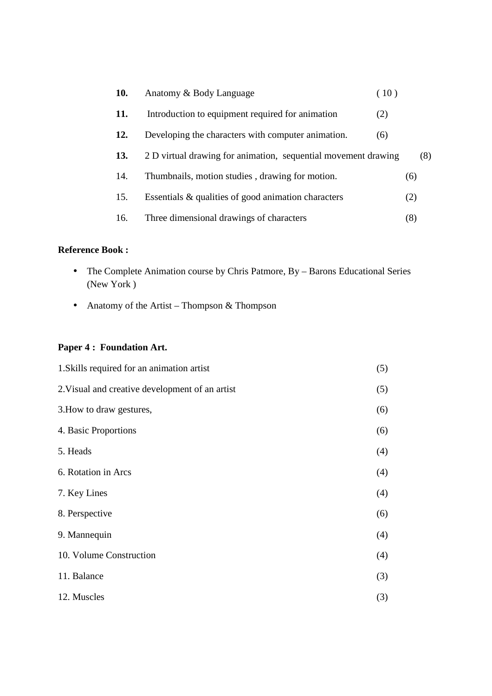| 10. | Anatomy & Body Language                                        | (10) |     |     |
|-----|----------------------------------------------------------------|------|-----|-----|
| 11. | Introduction to equipment required for animation               | (2)  |     |     |
| 12. | Developing the characters with computer animation.             | (6)  |     |     |
| 13. | 2 D virtual drawing for animation, sequential movement drawing |      |     | (8) |
| 14. | Thumbnails, motion studies, drawing for motion.                |      | (6) |     |
| 15. | Essentials & qualities of good animation characters            |      | (2) |     |
| 16. | Three dimensional drawings of characters                       |      | (8) |     |

## **Reference Book :**

- The Complete Animation course by Chris Patmore, By Barons Educational Series (New York )
- Anatomy of the Artist Thompson & Thompson

## **Paper 4 : Foundation Art.**

| 1. Skills required for an animation artist      | (5) |
|-------------------------------------------------|-----|
| 2. Visual and creative development of an artist | (5) |
| 3. How to draw gestures,                        | (6) |
| 4. Basic Proportions                            | (6) |
| 5. Heads                                        | (4) |
| 6. Rotation in Arcs                             | (4) |
| 7. Key Lines                                    | (4) |
| 8. Perspective                                  | (6) |
| 9. Mannequin                                    | (4) |
| 10. Volume Construction                         | (4) |
| 11. Balance                                     | (3) |
| 12. Muscles                                     | (3) |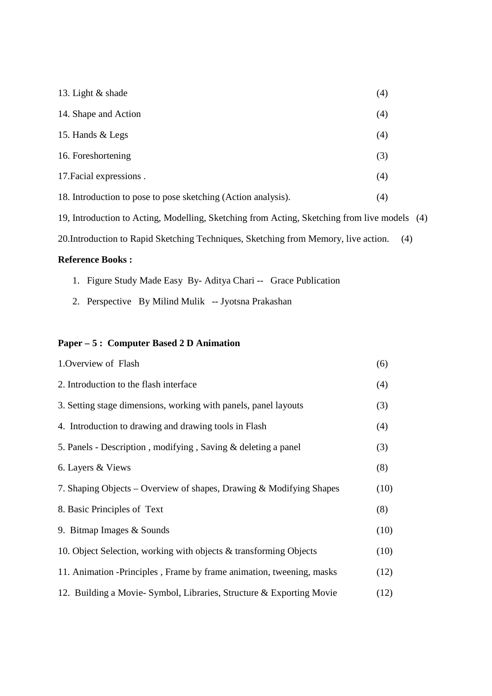| 13. Light & shade                                                                            | (4) |
|----------------------------------------------------------------------------------------------|-----|
| 14. Shape and Action                                                                         | (4) |
| 15. Hands & Legs                                                                             | (4) |
| 16. Foreshortening                                                                           | (3) |
| 17. Facial expressions.                                                                      | (4) |
| 18. Introduction to pose to pose sketching (Action analysis).                                | (4) |
| 19, Introduction to Acting, Modelling, Sketching from Acting, Sketching from live models (4) |     |
| 20. Introduction to Rapid Sketching Techniques, Sketching from Memory, live action.          | (4) |
| <b>Reference Books:</b>                                                                      |     |

- 1. Figure Study Made Easy By- Aditya Chari -- Grace Publication
- 2. Perspective By Milind Mulik -- Jyotsna Prakashan

## **Paper – 5 : Computer Based 2 D Animation**

| 1. Overview of Flash                                                  | (6)  |
|-----------------------------------------------------------------------|------|
| 2. Introduction to the flash interface                                | (4)  |
| 3. Setting stage dimensions, working with panels, panel layouts       | (3)  |
| 4. Introduction to drawing and drawing tools in Flash                 | (4)  |
| 5. Panels - Description, modifying, Saving & deleting a panel         | (3)  |
| 6. Layers & Views                                                     | (8)  |
| 7. Shaping Objects – Overview of shapes, Drawing & Modifying Shapes   | (10) |
| 8. Basic Principles of Text                                           | (8)  |
| 9. Bitmap Images $&$ Sounds                                           | (10) |
| 10. Object Selection, working with objects & transforming Objects     | (10) |
| 11. Animation - Principles, Frame by frame animation, tweening, masks | (12) |
| 12. Building a Movie-Symbol, Libraries, Structure & Exporting Movie   | (12) |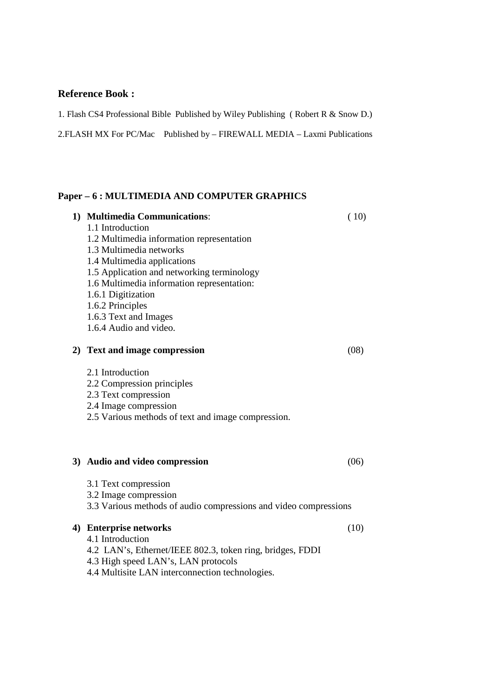## **Reference Book :**

|  | 1. Flash CS4 Professional Bible Published by Wiley Publishing (Robert R & Snow D.) |  |
|--|------------------------------------------------------------------------------------|--|
|--|------------------------------------------------------------------------------------|--|

2.FLASH MX For PC/Mac Published by – FIREWALL MEDIA – Laxmi Publications

# **Paper – 6 : MULTIMEDIA AND COMPUTER GRAPHICS**

| 1) Multimedia Communications:<br>1.1 Introduction<br>1.2 Multimedia information representation<br>1.3 Multimedia networks<br>1.4 Multimedia applications<br>1.5 Application and networking terminology<br>1.6 Multimedia information representation:<br>1.6.1 Digitization | (10) |
|----------------------------------------------------------------------------------------------------------------------------------------------------------------------------------------------------------------------------------------------------------------------------|------|
| 1.6.2 Principles                                                                                                                                                                                                                                                           |      |
| 1.6.3 Text and Images<br>1.6.4 Audio and video.                                                                                                                                                                                                                            |      |
| 2) Text and image compression                                                                                                                                                                                                                                              | (08) |
| 2.1 Introduction                                                                                                                                                                                                                                                           |      |
| 2.2 Compression principles                                                                                                                                                                                                                                                 |      |
| 2.3 Text compression<br>2.4 Image compression                                                                                                                                                                                                                              |      |
| 2.5 Various methods of text and image compression.                                                                                                                                                                                                                         |      |
|                                                                                                                                                                                                                                                                            |      |
| 3) Audio and video compression                                                                                                                                                                                                                                             | (06) |
| 3.1 Text compression                                                                                                                                                                                                                                                       |      |
| 3.2 Image compression                                                                                                                                                                                                                                                      |      |
| 3.3 Various methods of audio compressions and video compressions                                                                                                                                                                                                           |      |
| 4) Enterprise networks                                                                                                                                                                                                                                                     | (10) |
| 4.1 Introduction                                                                                                                                                                                                                                                           |      |
| 4.2 LAN's, Ethernet/IEEE 802.3, token ring, bridges, FDDI<br>4.3 High speed LAN's, LAN protocols                                                                                                                                                                           |      |

4.4 Multisite LAN interconnection technologies.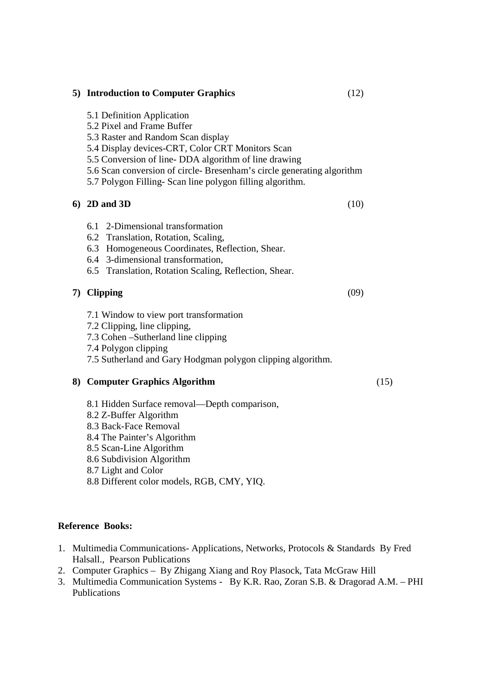#### **5) Introduction to Computer Graphics** (12)

- 5.1 Definition Application
- 5.2 Pixel and Frame Buffer
- 5.3 Raster and Random Scan display
- 5.4 Display devices-CRT, Color CRT Monitors Scan
- 5.5 Conversion of line- DDA algorithm of line drawing
- 5.6 Scan conversion of circle- Bresenham's circle generating algorithm
- 5.7 Polygon Filling- Scan line polygon filling algorithm.

#### **6) 2D and 3D** (10)

- 6.1 2-Dimensional transformation
- 6.2 Translation, Rotation, Scaling,
- 6.3 Homogeneous Coordinates, Reflection, Shear.
- 6.4 3-dimensional transformation,
- 6.5 Translation, Rotation Scaling, Reflection, Shear.

#### **7) Clipping** (09)

- 7.1 Window to view port transformation
- 7.2 Clipping, line clipping,
- 7.3 Cohen –Sutherland line clipping
- 7.4 Polygon clipping
- 7.5 Sutherland and Gary Hodgman polygon clipping algorithm.

#### **8) Computer Graphics Algorithm** (15)

8.1 Hidden Surface removal—Depth comparison, 8.2 Z-Buffer Algorithm 8.3 Back-Face Removal 8.4 The Painter's Algorithm 8.5 Scan-Line Algorithm 8.6 Subdivision Algorithm 8.7 Light and Color 8.8 Different color models, RGB, CMY, YIQ.

#### **Reference Books:**

- 1. Multimedia Communications- Applications, Networks, Protocols & Standards By Fred Halsall., Pearson Publications
- 2. Computer Graphics By Zhigang Xiang and Roy Plasock, Tata McGraw Hill
- 3. Multimedia Communication Systems By K.R. Rao, Zoran S.B. & Dragorad A.M. PHI Publications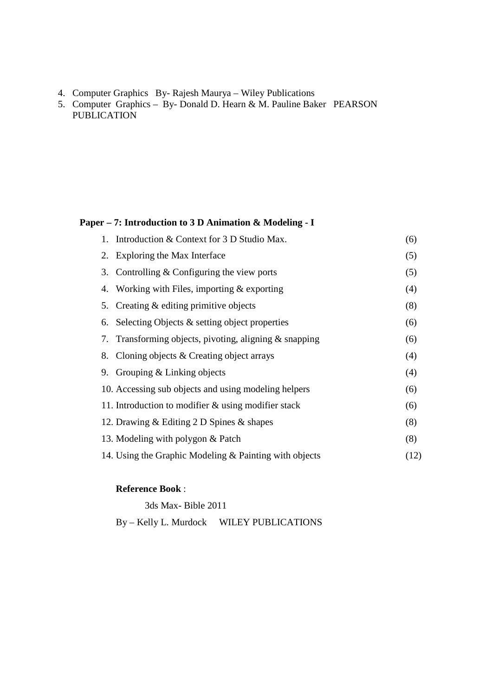- 4. Computer Graphics By- Rajesh Maurya Wiley Publications
- 5. Computer Graphics By- Donald D. Hearn & M. Pauline Baker PEARSON PUBLICATION

## **Paper – 7: Introduction to 3 D Animation & Modeling - I**

| 1. Introduction & Context for 3 D Studio Max.          | (6)  |
|--------------------------------------------------------|------|
| 2. Exploring the Max Interface                         | (5)  |
| 3. Controlling $&$ Configuring the view ports          | (5)  |
| 4. Working with Files, importing $&$ exporting         | (4)  |
| 5. Creating & editing primitive objects                | (8)  |
| 6. Selecting Objects $\&$ setting object properties    | (6)  |
| 7. Transforming objects, pivoting, aligning & snapping | (6)  |
| 8. Cloning objects & Creating object arrays            | (4)  |
| 9. Grouping & Linking objects                          | (4)  |
| 10. Accessing sub objects and using modeling helpers   | (6)  |
| 11. Introduction to modifier & using modifier stack    | (6)  |
| 12. Drawing & Editing 2 D Spines & shapes              | (8)  |
| 13. Modeling with polygon & Patch                      | (8)  |
| 14. Using the Graphic Modeling & Painting with objects | (12) |
|                                                        |      |

## **Reference Book** :

3ds Max- Bible 2011

By – Kelly L. Murdock WILEY PUBLICATIONS